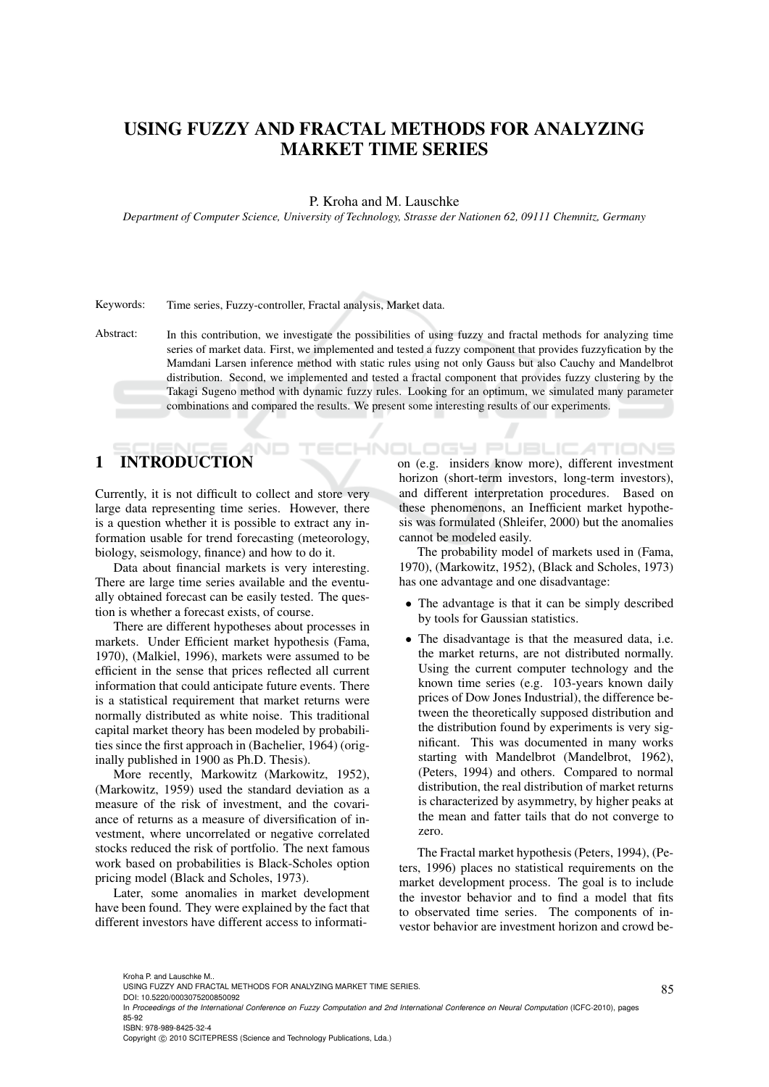# USING FUZZY AND FRACTAL METHODS FOR ANALYZING MARKET TIME SERIES

#### P. Kroha and M. Lauschke

*Department of Computer Science, University of Technology, Strasse der Nationen 62, 09111 Chemnitz, Germany*

#### Keywords: Time series, Fuzzy-controller, Fractal analysis, Market data.

Abstract: In this contribution, we investigate the possibilities of using fuzzy and fractal methods for analyzing time series of market data. First, we implemented and tested a fuzzy component that provides fuzzyfication by the Mamdani Larsen inference method with static rules using not only Gauss but also Cauchy and Mandelbrot distribution. Second, we implemented and tested a fractal component that provides fuzzy clustering by the Takagi Sugeno method with dynamic fuzzy rules. Looking for an optimum, we simulated many parameter combinations and compared the results. We present some interesting results of our experiments.

**INI** 

# 1 INTRODUCTION

Currently, it is not difficult to collect and store very large data representing time series. However, there is a question whether it is possible to extract any information usable for trend forecasting (meteorology, biology, seismology, finance) and how to do it.

Data about financial markets is very interesting. There are large time series available and the eventually obtained forecast can be easily tested. The question is whether a forecast exists, of course.

There are different hypotheses about processes in markets. Under Efficient market hypothesis (Fama, 1970), (Malkiel, 1996), markets were assumed to be efficient in the sense that prices reflected all current information that could anticipate future events. There is a statistical requirement that market returns were normally distributed as white noise. This traditional capital market theory has been modeled by probabilities since the first approach in (Bachelier, 1964) (originally published in 1900 as Ph.D. Thesis).

More recently, Markowitz (Markowitz, 1952), (Markowitz, 1959) used the standard deviation as a measure of the risk of investment, and the covariance of returns as a measure of diversification of investment, where uncorrelated or negative correlated stocks reduced the risk of portfolio. The next famous work based on probabilities is Black-Scholes option pricing model (Black and Scholes, 1973).

Later, some anomalies in market development have been found. They were explained by the fact that different investors have different access to informati-

y er on (e.g. insiders know more), different investment horizon (short-term investors, long-term investors), and different interpretation procedures. Based on these phenomenons, an Inefficient market hypothesis was formulated (Shleifer, 2000) but the anomalies cannot be modeled easily.

The probability model of markets used in (Fama, 1970), (Markowitz, 1952), (Black and Scholes, 1973) has one advantage and one disadvantage:

- The advantage is that it can be simply described by tools for Gaussian statistics.
- The disadvantage is that the measured data, i.e. the market returns, are not distributed normally. Using the current computer technology and the known time series (e.g. 103-years known daily prices of Dow Jones Industrial), the difference between the theoretically supposed distribution and the distribution found by experiments is very significant. This was documented in many works starting with Mandelbrot (Mandelbrot, 1962), (Peters, 1994) and others. Compared to normal distribution, the real distribution of market returns is characterized by asymmetry, by higher peaks at the mean and fatter tails that do not converge to zero.

The Fractal market hypothesis (Peters, 1994), (Peters, 1996) places no statistical requirements on the market development process. The goal is to include the investor behavior and to find a model that fits to observated time series. The components of investor behavior are investment horizon and crowd be-

ISBN: 978-989-8425-32-4

Copyright © 2010 SCITEPRESS (Science and Technology Publications, Lda.)

USING FUZZY AND FRACTAL METHODS FOR ANALYZING MARKET TIME SERIES. DOI: 10.5220/0003075200850092

In *Proceedings of the International Conference on Fuzzy Computation and 2nd International Conference on Neural Computation* (ICFC-2010), pages 85-92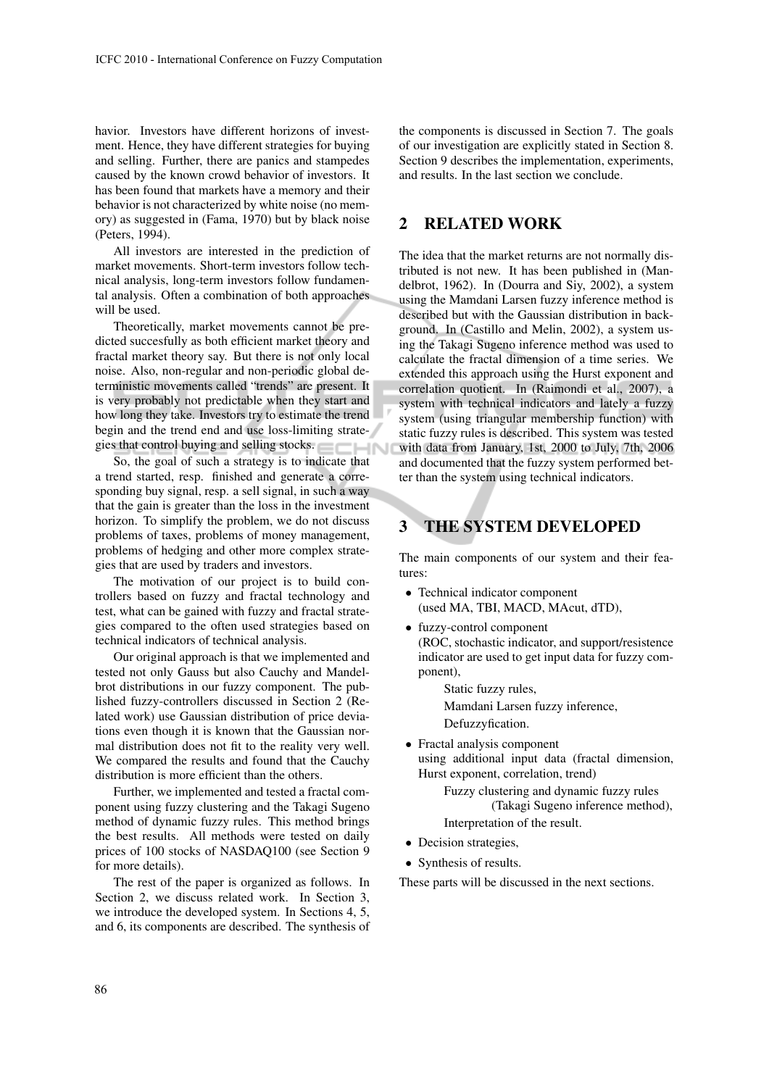havior. Investors have different horizons of investment. Hence, they have different strategies for buying and selling. Further, there are panics and stampedes caused by the known crowd behavior of investors. It has been found that markets have a memory and their behavior is not characterized by white noise (no memory) as suggested in (Fama, 1970) but by black noise (Peters, 1994).

All investors are interested in the prediction of market movements. Short-term investors follow technical analysis, long-term investors follow fundamental analysis. Often a combination of both approaches will be used.

Theoretically, market movements cannot be predicted succesfully as both efficient market theory and fractal market theory say. But there is not only local noise. Also, non-regular and non-periodic global deterministic movements called "trends" are present. It is very probably not predictable when they start and how long they take. Investors try to estimate the trend begin and the trend end and use loss-limiting strategies that control buying and selling stocks.

So, the goal of such a strategy is to indicate that a trend started, resp. finished and generate a corresponding buy signal, resp. a sell signal, in such a way that the gain is greater than the loss in the investment horizon. To simplify the problem, we do not discuss problems of taxes, problems of money management, problems of hedging and other more complex strategies that are used by traders and investors.

The motivation of our project is to build controllers based on fuzzy and fractal technology and test, what can be gained with fuzzy and fractal strategies compared to the often used strategies based on technical indicators of technical analysis.

Our original approach is that we implemented and tested not only Gauss but also Cauchy and Mandelbrot distributions in our fuzzy component. The published fuzzy-controllers discussed in Section 2 (Related work) use Gaussian distribution of price deviations even though it is known that the Gaussian normal distribution does not fit to the reality very well. We compared the results and found that the Cauchy distribution is more efficient than the others.

Further, we implemented and tested a fractal component using fuzzy clustering and the Takagi Sugeno method of dynamic fuzzy rules. This method brings the best results. All methods were tested on daily prices of 100 stocks of NASDAQ100 (see Section 9 for more details).

The rest of the paper is organized as follows. In Section 2, we discuss related work. In Section 3, we introduce the developed system. In Sections 4, 5, and 6, its components are described. The synthesis of

the components is discussed in Section 7. The goals of our investigation are explicitly stated in Section 8. Section 9 describes the implementation, experiments, and results. In the last section we conclude.

### 2 RELATED WORK

The idea that the market returns are not normally distributed is not new. It has been published in (Mandelbrot, 1962). In (Dourra and Siy, 2002), a system using the Mamdani Larsen fuzzy inference method is described but with the Gaussian distribution in background. In (Castillo and Melin, 2002), a system using the Takagi Sugeno inference method was used to calculate the fractal dimension of a time series. We extended this approach using the Hurst exponent and correlation quotient. In (Raimondi et al., 2007), a system with technical indicators and lately a fuzzy system (using triangular membership function) with static fuzzy rules is described. This system was tested with data from January, 1st, 2000 to July, 7th, 2006 and documented that the fuzzy system performed better than the system using technical indicators.

### 3 THE SYSTEM DEVELOPED

The main components of our system and their features:

- Technical indicator component (used MA, TBI, MACD, MAcut, dTD),
- fuzzy-control component (ROC, stochastic indicator, and support/resistence indicator are used to get input data for fuzzy component),
	- Static fuzzy rules, Mamdani Larsen fuzzy inference, Defuzzyfication.
- Fractal analysis component using additional input data (fractal dimension, Hurst exponent, correlation, trend)

Fuzzy clustering and dynamic fuzzy rules (Takagi Sugeno inference method), Interpretation of the result.

- 
- Decision strategies,
- Synthesis of results.

These parts will be discussed in the next sections.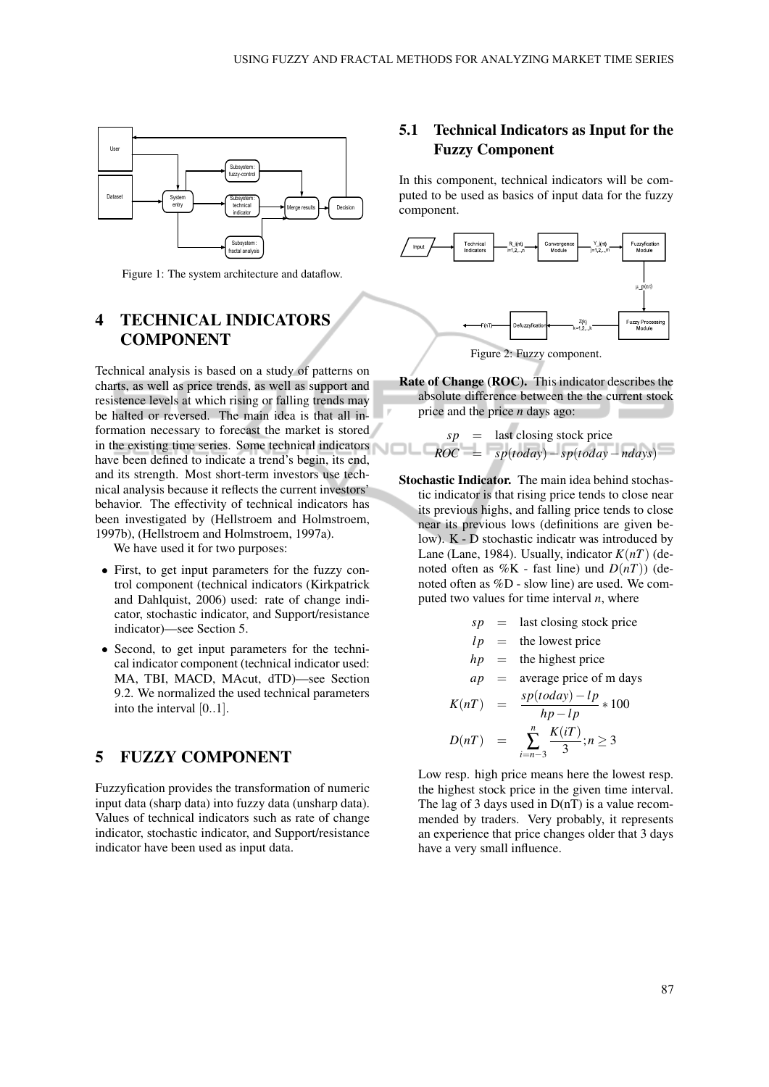

Figure 1: The system architecture and dataflow.

### 4 TECHNICAL INDICATORS **COMPONENT**

Technical analysis is based on a study of patterns on charts, as well as price trends, as well as support and resistence levels at which rising or falling trends may be halted or reversed. The main idea is that all information necessary to forecast the market is stored in the existing time series. Some technical indicators have been defined to indicate a trend's begin, its end, and its strength. Most short-term investors use technical analysis because it reflects the current investors' behavior. The effectivity of technical indicators has been investigated by (Hellstroem and Holmstroem, 1997b), (Hellstroem and Holmstroem, 1997a).

We have used it for two purposes:

- First, to get input parameters for the fuzzy control component (technical indicators (Kirkpatrick and Dahlquist, 2006) used: rate of change indicator, stochastic indicator, and Support/resistance indicator)—see Section 5.
- Second, to get input parameters for the technical indicator component (technical indicator used: MA, TBI, MACD, MAcut, dTD)—see Section 9.2. We normalized the used technical parameters into the interval [0..1].

### 5 FUZZY COMPONENT

Fuzzyfication provides the transformation of numeric input data (sharp data) into fuzzy data (unsharp data). Values of technical indicators such as rate of change indicator, stochastic indicator, and Support/resistance indicator have been used as input data.

### 5.1 Technical Indicators as Input for the Fuzzy Component

In this component, technical indicators will be computed to be used as basics of input data for the fuzzy component.



Rate of Change (ROC). This indicator describes the absolute difference between the the current stock price and the price *n* days ago:

**All Control** 

$$
sp = last closing stock price
$$
  

$$
ROC = sp(today) - sp(today - ndays)
$$

- Stochastic Indicator. The main idea behind stochastic indicator is that rising price tends to close near its previous highs, and falling price tends to close near its previous lows (definitions are given below). K - D stochastic indicatr was introduced by Lane (Lane, 1984). Usually, indicator  $K(nT)$  (denoted often as  $\%K$  - fast line) und  $D(nT)$  (denoted often as %D - slow line) are used. We computed two values for time interval *n*, where
	- $sp =$  last closing stock price
	- the lowest price
	- $hp =$  the highest price

$$
ap = \text{average price of m days}
$$

$$
K(nT) = \frac{sp(today) - lp}{hp - lp} * 100
$$
  

$$
D(nT) = \sum_{i=n-3}^{n} \frac{K(iT)}{3}; n \ge 3
$$

Low resp. high price means here the lowest resp. the highest stock price in the given time interval. The lag of 3 days used in  $D(nT)$  is a value recommended by traders. Very probably, it represents an experience that price changes older that 3 days have a very small influence.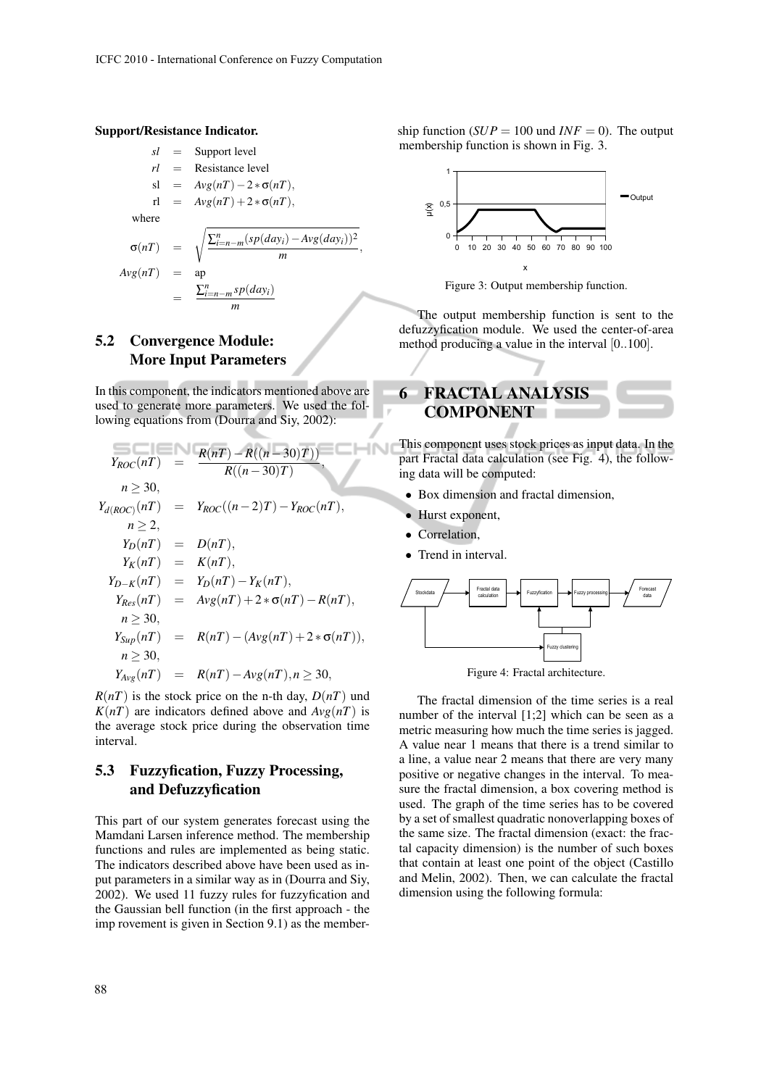#### Support/Resistance Indicator.

$$
sl = \text{Support level}
$$
\n
$$
rl = \text{Resistance level}
$$
\n
$$
sl = Avg(nT) - 2 * \sigma(nT),
$$
\n
$$
rl = Avg(nT) + 2 * \sigma(nT),
$$
\nwhere\n
$$
\sigma(nT) = \sqrt{\frac{\sum_{i=n-m}^{n} (sp(day_i) - Avg(day_i))^2}{m}}
$$
\n
$$
Avg(nT) = \text{ap}
$$
\n
$$
= \frac{\sum_{i=n-m}^{n} sp(day_i)}{m}
$$

,

×

Ñ

### 5.2 Convergence Module: More Input Parameters

In this component, the indicators mentioned above are used to generate more parameters. We used the following equations from (Dourra and Siy, 2002):

*m*

$$
Y_{ROC}(nT) = \frac{R(nT) - R((n-30)T)}{R((n-30)T)},
$$
  
\n $n \ge 30,$   
\n $Y_{d(ROC)}(nT) = Y_{ROC}((n-2)T) - Y_{ROC}(nT),$   
\n $n \ge 2,$   
\n $Y_D(nT) = D(nT),$   
\n $Y_K(nT) = K(nT),$   
\n $Y_{D-K}(nT) = Y_D(nT) - Y_K(nT),$   
\n $Y_{Res}(nT) = Ay(nT) + 2 * \sigma(nT) - R(nT),$   
\n $n \ge 30,$   
\n $Y_{Sup}(nT) = R(nT) - (Avg(nT) + 2 * \sigma(nT)),$   
\n $n \ge 30,$   
\n $Y_{Avg}(nT) = R(nT) - Avg(nT), n \ge 30,$ 

 $R(nT)$  is the stock price on the n-th day,  $D(nT)$  und  $K(nT)$  are indicators defined above and  $Avg(nT)$  is the average stock price during the observation time interval.

### 5.3 Fuzzyfication, Fuzzy Processing, and Defuzzyfication

This part of our system generates forecast using the Mamdani Larsen inference method. The membership functions and rules are implemented as being static. The indicators described above have been used as input parameters in a similar way as in (Dourra and Siy, 2002). We used 11 fuzzy rules for fuzzyfication and the Gaussian bell function (in the first approach - the imp rovement is given in Section 9.1) as the membership function ( $SUP = 100$  und  $INF = 0$ ). The output membership function is shown in Fig. 3.





The output membership function is sent to the defuzzyfication module. We used the center-of-area method producing a value in the interval [0..100].

## 6 FRACTAL ANALYSIS **COMPONENT**

This component uses stock prices as input data. In the part Fractal data calculation (see Fig. 4), the following data will be computed:

- Box dimension and fractal dimension,
- Hurst exponent,
- Correlation,
- Trend in interval.





The fractal dimension of the time series is a real number of the interval [1;2] which can be seen as a metric measuring how much the time series is jagged. A value near 1 means that there is a trend similar to a line, a value near 2 means that there are very many positive or negative changes in the interval. To measure the fractal dimension, a box covering method is used. The graph of the time series has to be covered by a set of smallest quadratic nonoverlapping boxes of the same size. The fractal dimension (exact: the fractal capacity dimension) is the number of such boxes that contain at least one point of the object (Castillo and Melin, 2002). Then, we can calculate the fractal dimension using the following formula: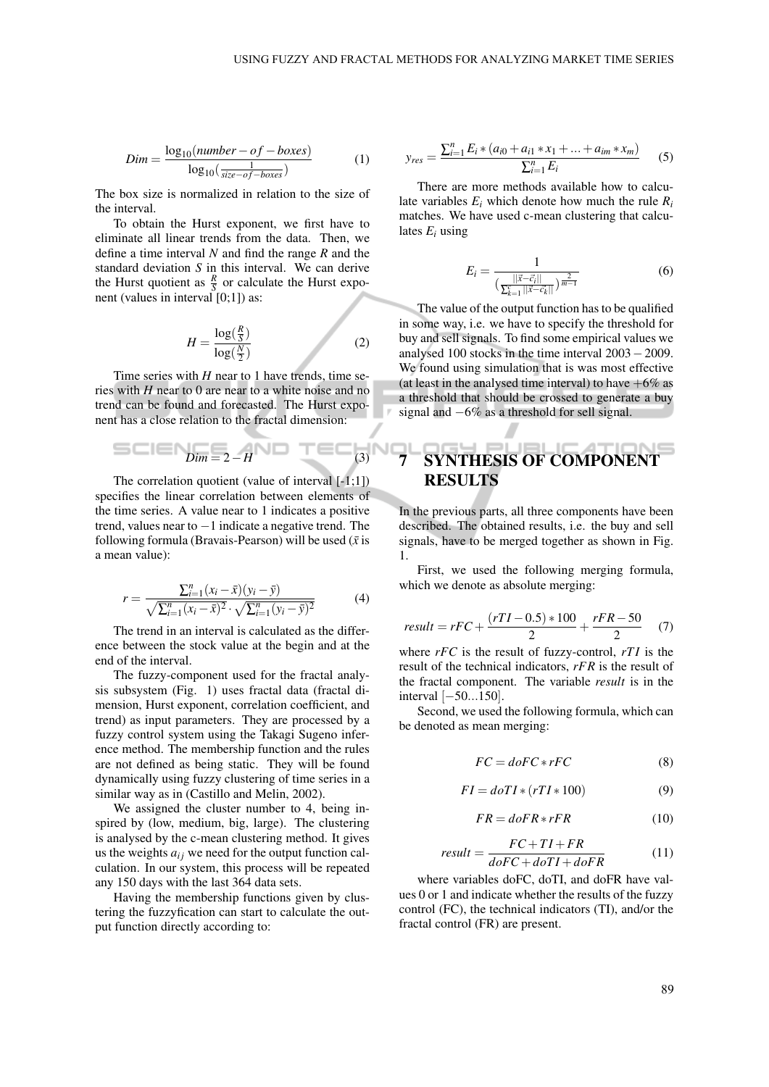$$
Dim = \frac{\log_{10}(number - of - boxes)}{\log_{10}(\frac{1}{size - of - boxes})}
$$
(1)

The box size is normalized in relation to the size of the interval.

To obtain the Hurst exponent, we first have to eliminate all linear trends from the data. Then, we define a time interval *N* and find the range *R* and the standard deviation *S* in this interval. We can derive the Hurst quotient as  $\frac{R}{S}$  or calculate the Hurst exponent (values in interval  $[0;1]$ ) as:

$$
H = \frac{\log(\frac{R}{S})}{\log(\frac{N}{2})}
$$
 (2)

Time series with *H* near to 1 have trends, time series with *H* near to 0 are near to a white noise and no trend can be found and forecasted. The Hurst exponent has a close relation to the fractal dimension:

$$
Dim = 2-H
$$

The correlation quotient (value of interval  $[-1;1]$ ) specifies the linear correlation between elements of the time series. A value near to 1 indicates a positive trend, values near to −1 indicate a negative trend. The following formula (Bravais-Pearson) will be used  $(\bar{x}$  is a mean value):

$$
r = \frac{\sum_{i=1}^{n} (x_i - \bar{x})(y_i - \bar{y})}{\sqrt{\sum_{i=1}^{n} (x_i - \bar{x})^2} \cdot \sqrt{\sum_{i=1}^{n} (y_i - \bar{y})^2}}
$$
(4)

The trend in an interval is calculated as the difference between the stock value at the begin and at the end of the interval.

The fuzzy-component used for the fractal analysis subsystem (Fig. 1) uses fractal data (fractal dimension, Hurst exponent, correlation coefficient, and trend) as input parameters. They are processed by a fuzzy control system using the Takagi Sugeno inference method. The membership function and the rules are not defined as being static. They will be found dynamically using fuzzy clustering of time series in a similar way as in (Castillo and Melin, 2002).

We assigned the cluster number to 4, being inspired by (low, medium, big, large). The clustering is analysed by the c-mean clustering method. It gives us the weights  $a_{ij}$  we need for the output function calculation. In our system, this process will be repeated any 150 days with the last 364 data sets.

Having the membership functions given by clustering the fuzzyfication can start to calculate the output function directly according to:

$$
y_{res} = \frac{\sum_{i=1}^{n} E_i * (a_{i0} + a_{i1} * x_1 + \dots + a_{im} * x_m)}{\sum_{i=1}^{n} E_i}
$$
 (5)

There are more methods available how to calculate variables  $E_i$  which denote how much the rule  $R_i$ matches. We have used c-mean clustering that calculates  $E_i$  using

$$
E_i = \frac{1}{\left(\frac{\|\vec{x} - \vec{c}_i\|}{\sum_{k=1}^{c} \|\vec{x} - \vec{c}_k\|}\right)^{\frac{2}{m-1}}}
$$
(6)

The value of the output function has to be qualified in some way, i.e. we have to specify the threshold for buy and sell signals. To find some empirical values we analysed 100 stocks in the time interval 2003−2009. We found using simulation that is was most effective (at least in the analysed time interval) to have  $+6\%$  as a threshold that should be crossed to generate a buy signal and  $-6\%$  as a threshold for sell signal.

# **SYNTHESIS OF COMPONENT** RESULTS

**COMPANY** 

In the previous parts, all three components have been described. The obtained results, i.e. the buy and sell signals, have to be merged together as shown in Fig. 1.

First, we used the following merging formula, which we denote as absolute merging:

$$
result = rFC + \frac{(rTI - 0.5) * 100}{2} + \frac{rFR - 50}{2} \tag{7}
$$

where  $rFC$  is the result of fuzzy-control,  $rTI$  is the result of the technical indicators, *rFR* is the result of the fractal component. The variable *result* is in the interval [−50...150].

Second, we used the following formula, which can be denoted as mean merging:

$$
FC = doFC \ast rFC \tag{8}
$$

$$
FI = doTI * (rTI * 100)
$$
\n<sup>(9)</sup>

$$
FR = doFR \times rFR \tag{10}
$$

$$
result = \frac{FC + TI + FR}{dofC + dofI + dofR}
$$
(11)

where variables doFC, doTI, and doFR have values 0 or 1 and indicate whether the results of the fuzzy control (FC), the technical indicators (TI), and/or the fractal control (FR) are present.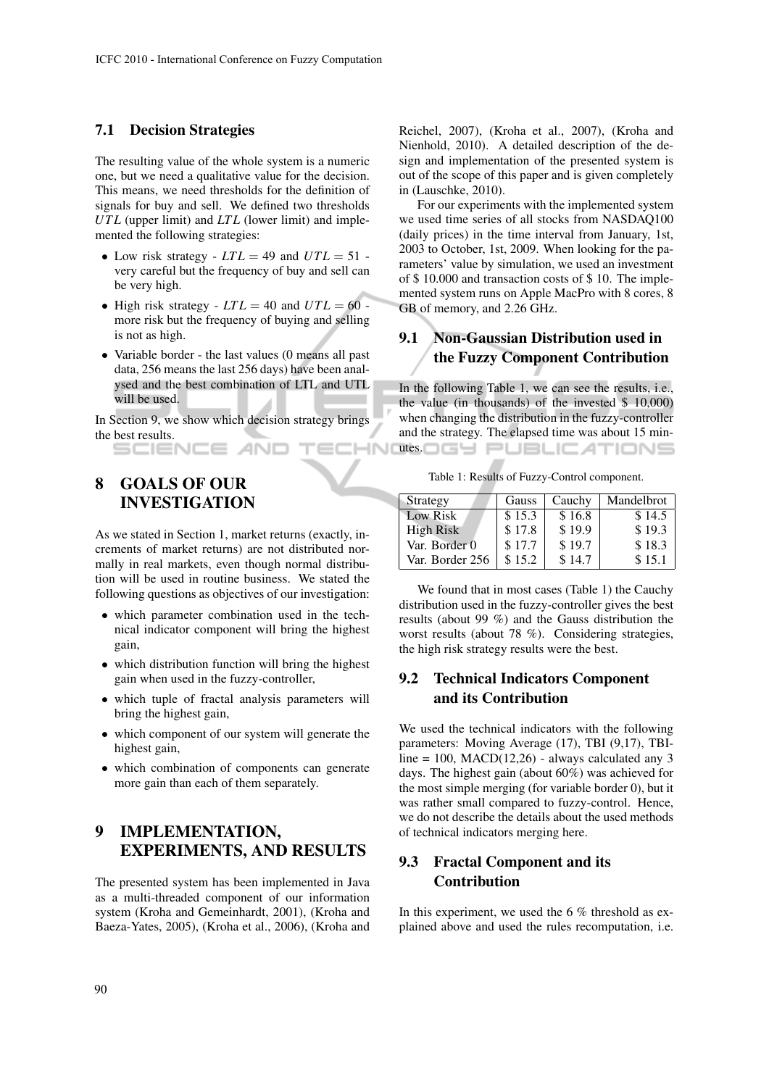#### 7.1 Decision Strategies

The resulting value of the whole system is a numeric one, but we need a qualitative value for the decision. This means, we need thresholds for the definition of signals for buy and sell. We defined two thresholds *UT L* (upper limit) and *LT L* (lower limit) and implemented the following strategies:

- Low risk strategy  $LTL = 49$  and  $UTL = 51$  very careful but the frequency of buy and sell can be very high.
- High risk strategy  $LTL = 40$  and  $UTL = 60$  more risk but the frequency of buying and selling is not as high.
- Variable border the last values (0 means all past data, 256 means the last 256 days) have been analysed and the best combination of LTL and UTL will be used.

In Section 9, we show which decision strategy brings the best results.

-IN

### 8 GOALS OF OUR INVESTIGATION

As we stated in Section 1, market returns (exactly, increments of market returns) are not distributed normally in real markets, even though normal distribution will be used in routine business. We stated the following questions as objectives of our investigation:

- which parameter combination used in the technical indicator component will bring the highest gain,
- which distribution function will bring the highest gain when used in the fuzzy-controller,
- which tuple of fractal analysis parameters will bring the highest gain,
- which component of our system will generate the highest gain,
- which combination of components can generate more gain than each of them separately.

### 9 IMPLEMENTATION, EXPERIMENTS, AND RESULTS

The presented system has been implemented in Java as a multi-threaded component of our information system (Kroha and Gemeinhardt, 2001), (Kroha and Baeza-Yates, 2005), (Kroha et al., 2006), (Kroha and Reichel, 2007), (Kroha et al., 2007), (Kroha and Nienhold, 2010). A detailed description of the design and implementation of the presented system is out of the scope of this paper and is given completely in (Lauschke, 2010).

For our experiments with the implemented system we used time series of all stocks from NASDAQ100 (daily prices) in the time interval from January, 1st, 2003 to October, 1st, 2009. When looking for the parameters' value by simulation, we used an investment of \$ 10.000 and transaction costs of \$ 10. The implemented system runs on Apple MacPro with 8 cores, 8 GB of memory, and 2.26 GHz.

### 9.1 Non-Gaussian Distribution used in the Fuzzy Component Contribution

In the following Table 1, we can see the results, i.e., the value (in thousands) of the invested \$ 10,000) when changing the distribution in the fuzzy-controller and the strategy. The elapsed time was about 15 min**utes.**<br>  $G = 4$  PUBLICATIONS

Table 1: Results of Fuzzy-Control component.

| Strategy         | Gauss  | Cauchy | Mandelbrot |
|------------------|--------|--------|------------|
| Low Risk         | \$15.3 | \$16.8 | \$14.5     |
| <b>High Risk</b> | \$17.8 | \$19.9 | \$19.3     |
| Var. Border 0    | \$17.7 | \$19.7 | \$18.3     |
| Var. Border 256  | \$15.2 | \$14.7 | \$15.1     |

We found that in most cases (Table 1) the Cauchy distribution used in the fuzzy-controller gives the best results (about 99 %) and the Gauss distribution the worst results (about 78 %). Considering strategies, the high risk strategy results were the best.

### 9.2 Technical Indicators Component and its Contribution

We used the technical indicators with the following parameters: Moving Average (17), TBI (9,17), TBIline = 100, MACD $(12,26)$  - always calculated any 3 days. The highest gain (about 60%) was achieved for the most simple merging (for variable border 0), but it was rather small compared to fuzzy-control. Hence, we do not describe the details about the used methods of technical indicators merging here.

### 9.3 Fractal Component and its Contribution

In this experiment, we used the 6 % threshold as explained above and used the rules recomputation, i.e.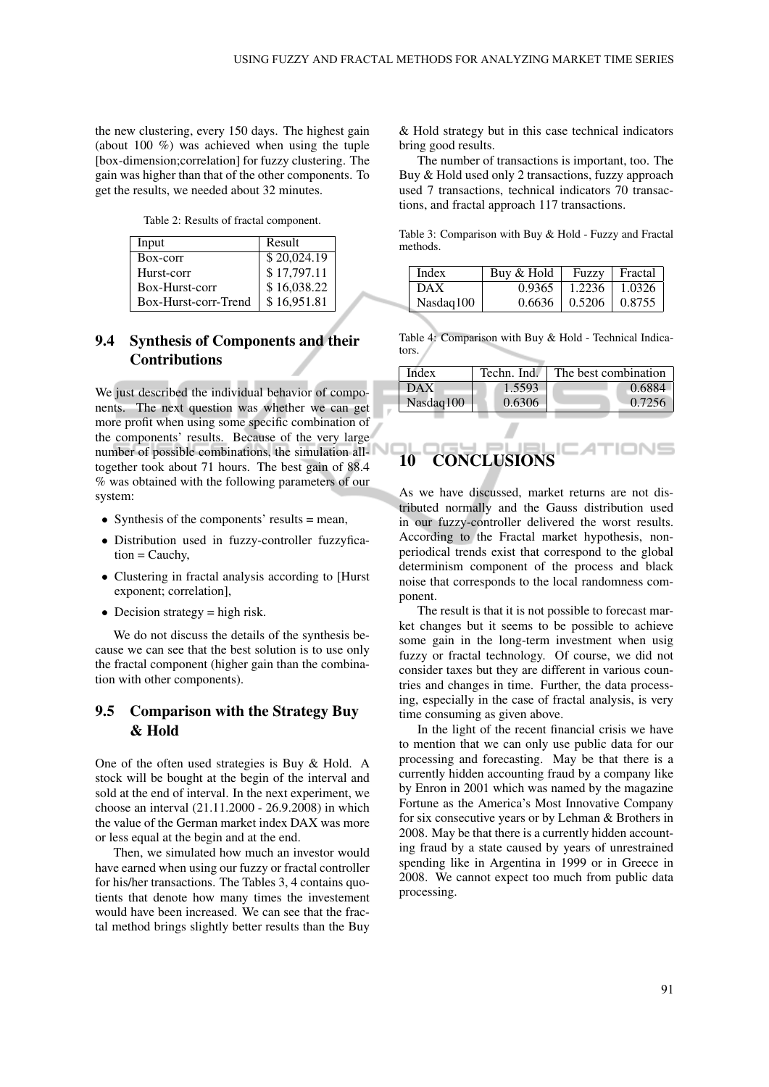the new clustering, every 150 days. The highest gain (about 100 %) was achieved when using the tuple [box-dimension;correlation] for fuzzy clustering. The gain was higher than that of the other components. To get the results, we needed about 32 minutes.

Table 2: Results of fractal component.

| Input                | Result      |
|----------------------|-------------|
| Box-corr             | \$20,024.19 |
| Hurst-corr           | \$17,797.11 |
| Box-Hurst-corr       | \$16,038.22 |
| Box-Hurst-corr-Trend | \$16,951.81 |

### 9.4 Synthesis of Components and their Contributions

We just described the individual behavior of components. The next question was whether we can get more profit when using some specific combination of the components' results. Because of the very large number of possible combinations, the simulation alltogether took about 71 hours. The best gain of 88.4 % was obtained with the following parameters of our system:

- Synthesis of the components' results = mean,
- Distribution used in fuzzy-controller fuzzyfication = Cauchy,
- Clustering in fractal analysis according to [Hurst exponent; correlation],
- Decision strategy = high risk.

We do not discuss the details of the synthesis because we can see that the best solution is to use only the fractal component (higher gain than the combination with other components).

### 9.5 Comparison with the Strategy Buy & Hold

One of the often used strategies is Buy & Hold. A stock will be bought at the begin of the interval and sold at the end of interval. In the next experiment, we choose an interval (21.11.2000 - 26.9.2008) in which the value of the German market index DAX was more or less equal at the begin and at the end.

Then, we simulated how much an investor would have earned when using our fuzzy or fractal controller for his/her transactions. The Tables 3, 4 contains quotients that denote how many times the investement would have been increased. We can see that the fractal method brings slightly better results than the Buy

& Hold strategy but in this case technical indicators bring good results.

The number of transactions is important, too. The Buy & Hold used only 2 transactions, fuzzy approach used 7 transactions, technical indicators 70 transactions, and fractal approach 117 transactions.

Table 3: Comparison with Buy & Hold - Fuzzy and Fractal methods.

| Index     | Buy & Hold | Fuzzy Fractal     |
|-----------|------------|-------------------|
| DAX.      | 0.9365     | $1.2236$   1.0326 |
| Nasdaq100 | $0.6636$   | $0.5206$   0.8755 |

Table 4: Comparison with Buy & Hold - Technical Indicators.

| Index      | Techn. Ind. | The best combination |
|------------|-------------|----------------------|
| <b>DAX</b> | 1.5593      | 0.6884               |
| Nasdaq100  | 0.6306      | 0.7256               |

# 10 CONCLUSIONS

As we have discussed, market returns are not distributed normally and the Gauss distribution used in our fuzzy-controller delivered the worst results. According to the Fractal market hypothesis, nonperiodical trends exist that correspond to the global determinism component of the process and black noise that corresponds to the local randomness component.

The result is that it is not possible to forecast market changes but it seems to be possible to achieve some gain in the long-term investment when usig fuzzy or fractal technology. Of course, we did not consider taxes but they are different in various countries and changes in time. Further, the data processing, especially in the case of fractal analysis, is very time consuming as given above.

In the light of the recent financial crisis we have to mention that we can only use public data for our processing and forecasting. May be that there is a currently hidden accounting fraud by a company like by Enron in 2001 which was named by the magazine Fortune as the America's Most Innovative Company for six consecutive years or by Lehman & Brothers in 2008. May be that there is a currently hidden accounting fraud by a state caused by years of unrestrained spending like in Argentina in 1999 or in Greece in 2008. We cannot expect too much from public data processing.